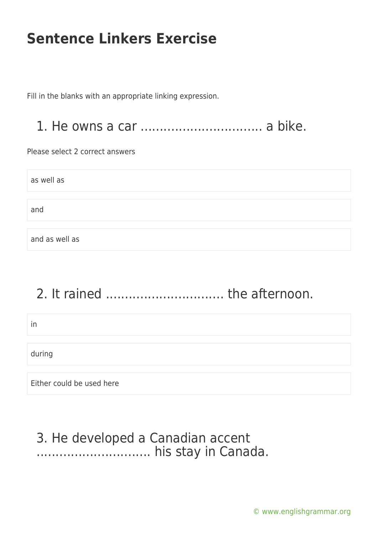Fill in the blanks with an appropriate linking expression.

#### 1. He owns a car ................................ a bike.

Please select 2 correct answers

as well as and and as well as

# 2. It rained ............................... the afternoon.

in during Either could be used here

### 3. He developed a Canadian accent .............................. his stay in Canada.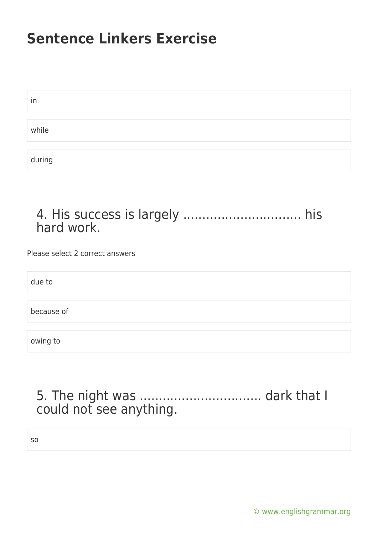| in     |  |
|--------|--|
|        |  |
| while  |  |
|        |  |
| during |  |

#### 4. His success is largely .................................. his hard work.

Please select 2 correct answers

due to

because of

owing to

### 5. The night was ................................ dark that I could not see anything.

so

[© www.englishgrammar.org](https://www.englishgrammar.org/)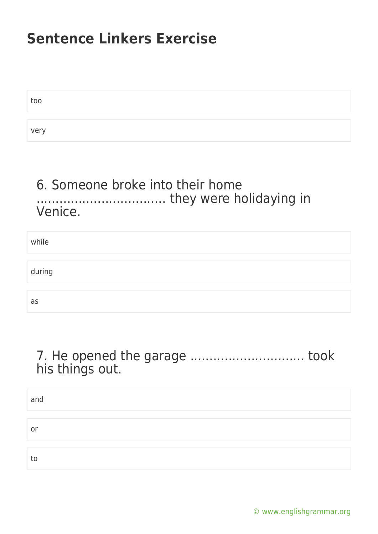| too  |  |
|------|--|
|      |  |
| very |  |

#### 6. Someone broke into their home .................................. they were holidaying in Venice.

| while  |  |
|--------|--|
|        |  |
| during |  |
|        |  |
| as     |  |

#### 7. He opened the garage .................................. took his things out.

| and |  |
|-----|--|
|     |  |
| or  |  |
|     |  |
| to  |  |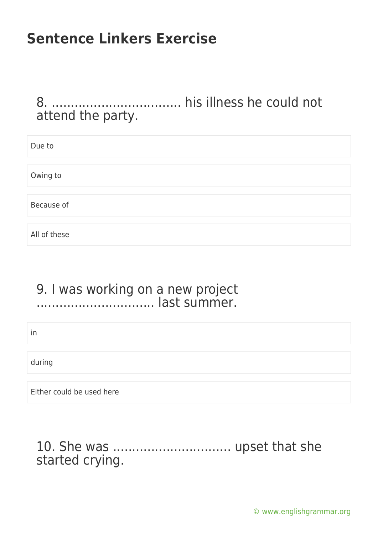8. .................................. his illness he could not attend the party.

| Due to       |  |  |
|--------------|--|--|
|              |  |  |
| Owing to     |  |  |
|              |  |  |
| Because of   |  |  |
|              |  |  |
| All of these |  |  |

#### 9. I was working on a new project ............................... last summer.

in

during

Either could be used here

#### 10. She was ............................... upset that she started crying.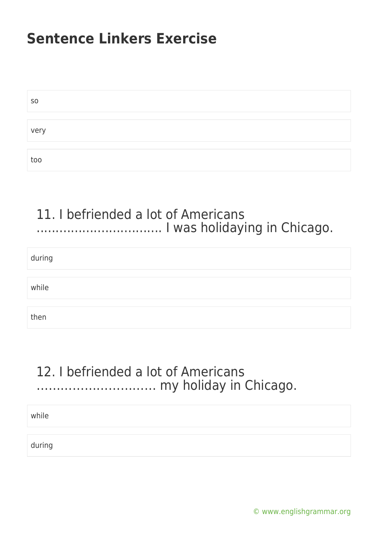| S <sub>O</sub> |  |
|----------------|--|
|                |  |
| very           |  |
|                |  |
| too            |  |

#### 11. I befriended a lot of Americans ................................. I was holidaying in Chicago.

during

while

then

### 12. I befriended a lot of Americans ………………………… my holiday in Chicago.

while

during

[© www.englishgrammar.org](https://www.englishgrammar.org/)